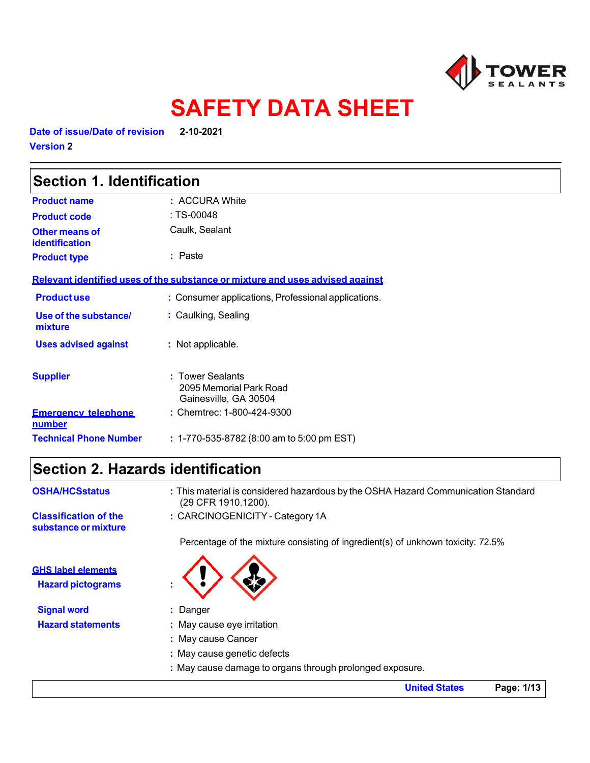

# **SAFETY DATA SHEET**

**Date of issue/Date of revision 2-10-2021 Version 2** 

| <b>Section 1. Identification</b>        |                                                                               |
|-----------------------------------------|-------------------------------------------------------------------------------|
| <b>Product name</b>                     | : ACCURA White                                                                |
| <b>Product code</b>                     | : TS-00048                                                                    |
| Other means of<br><b>identification</b> | Caulk, Sealant                                                                |
| <b>Product type</b>                     | $:$ Paste                                                                     |
|                                         | Relevant identified uses of the substance or mixture and uses advised against |
| <b>Productuse</b>                       | : Consumer applications, Professional applications.                           |
| Use of the substance/<br>mixture        | : Caulking, Sealing                                                           |
| <b>Uses advised against</b>             | : Not applicable.                                                             |
| <b>Supplier</b>                         | : Tower Sealants<br>2095 Memorial Park Road<br>Gainesville, GA 30504          |
| <b>Emergency telephone</b><br>number    | : Chemtrec: 1-800-424-9300                                                    |
| <b>Technical Phone Number</b>           | : 1-770-535-8782 (8:00 am to 5:00 pm EST)                                     |

# **Section 2. Hazards identification**

| <b>OSHA/HCSstatus</b>                                 | : This material is considered hazardous by the OSHA Hazard Communication Standard<br>(29 CFR 1910.1200). |
|-------------------------------------------------------|----------------------------------------------------------------------------------------------------------|
| <b>Classification of the</b><br>substance or mixture  | : CARCINOGENICITY - Category 1A                                                                          |
|                                                       | Percentage of the mixture consisting of ingredient(s) of unknown toxicity: 72.5%                         |
| <b>GHS label elements</b><br><b>Hazard pictograms</b> |                                                                                                          |
| <b>Signal word</b>                                    | : Danger                                                                                                 |
| <b>Hazard statements</b>                              | : May cause eye irritation                                                                               |
|                                                       | : May cause Cancer                                                                                       |
|                                                       | : May cause genetic defects                                                                              |
|                                                       | : May cause damage to organs through prolonged exposure.                                                 |

**United States Page: 1/13**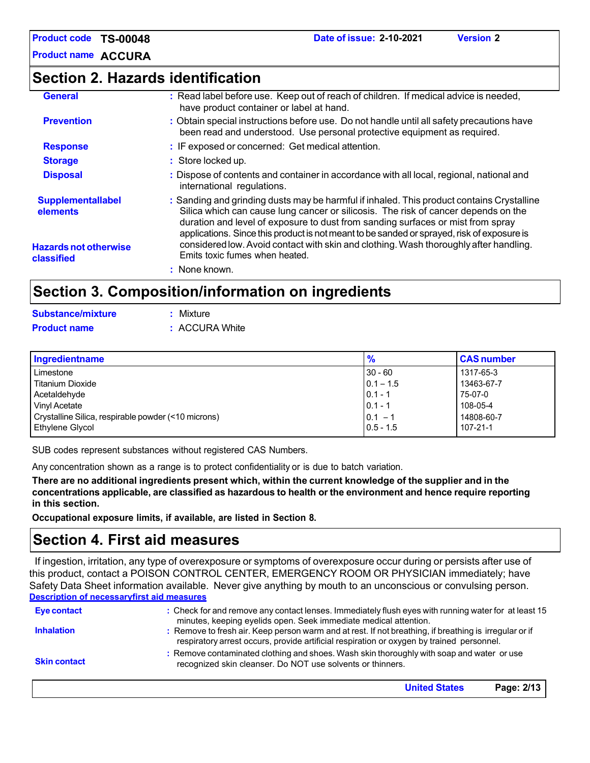**Product name ACCURA** 

### **Section 2. Hazards identification**

| <b>General</b>                             | : Read label before use. Keep out of reach of children. If medical advice is needed,<br>have product container or label at hand.                                                                                                                                                                                                                                 |
|--------------------------------------------|------------------------------------------------------------------------------------------------------------------------------------------------------------------------------------------------------------------------------------------------------------------------------------------------------------------------------------------------------------------|
| <b>Prevention</b>                          | : Obtain special instructions before use. Do not handle until all safety precautions have<br>been read and understood. Use personal protective equipment as required.                                                                                                                                                                                            |
| <b>Response</b>                            | : IF exposed or concerned: Get medical attention.                                                                                                                                                                                                                                                                                                                |
| <b>Storage</b>                             | : Store locked up.                                                                                                                                                                                                                                                                                                                                               |
| <b>Disposal</b>                            | : Dispose of contents and container in accordance with all local, regional, national and<br>international regulations.                                                                                                                                                                                                                                           |
| <b>Supplementallabel</b><br>elements       | : Sanding and grinding dusts may be harmful if inhaled. This product contains Crystalline<br>Silica which can cause lung cancer or silicosis. The risk of cancer depends on the<br>duration and level of exposure to dust from sanding surfaces or mist from spray<br>applications. Since this product is not meant to be sanded or sprayed, risk of exposure is |
| <b>Hazards not otherwise</b><br>classified | considered low. Avoid contact with skin and clothing. Wash thoroughly after handling.<br>Emits toxic fumes when heated.                                                                                                                                                                                                                                          |
|                                            | : None known.                                                                                                                                                                                                                                                                                                                                                    |
|                                            | Section 3. Composition/information on ingredients                                                                                                                                                                                                                                                                                                                |

# **Substance/mixture : Mixture**

| <b>Product name</b> | : ACCURA White |
|---------------------|----------------|
|                     |                |

| Ingredientname                                      | $\frac{9}{6}$ | <b>CAS number</b> |
|-----------------------------------------------------|---------------|-------------------|
| Limestone                                           | $30 - 60$     | 1317-65-3         |
| <b>Titanium Dioxide</b>                             | $0.1 - 1.5$   | 13463-67-7        |
| Acetaldehyde                                        | $0.1 - 1$     | 75-07-0           |
| Vinyl Acetate                                       | $0.1 - 1$     | 108-05-4          |
| Crystalline Silica, respirable powder (<10 microns) | $0.1 - 1$     | 14808-60-7        |
| <b>Ethylene Glycol</b>                              | $0.5 - 1.5$   | 107-21-1          |

SUB codes represent substances without registered CAS Numbers.

Any concentration shown as a range is to protect confidentiality or is due to batch variation.

**There are no additional ingredients present which, within the current knowledge of the supplier and in the concentrations applicable, are classified as hazardous to health or the environment and hence require reporting in this section.** 

**Occupational exposure limits, if available, are listed in Section 8.**

## **Section 4. First aid measures**

If ingestion, irritation, any type of overexposure or symptoms of overexposure occur during or persists after use of this product, contact a POISON CONTROL CENTER, EMERGENCY ROOM OR PHYSICIAN immediately; have Safety Data Sheet information available. Never give anything by mouth to an unconscious or convulsing person. **Description of necessaryfirst aid measures**

| Eye contact         | : Check for and remove any contact lenses. Immediately flush eyes with running water for at least 15                                                                                                                                                                    |
|---------------------|-------------------------------------------------------------------------------------------------------------------------------------------------------------------------------------------------------------------------------------------------------------------------|
| <b>Inhalation</b>   | minutes, keeping eyelids open. Seek immediate medical attention.<br>: Remove to fresh air. Keep person warm and at rest. If not breathing, if breathing is irregular or if<br>respiratory arrest occurs, provide artificial respiration or oxygen by trained personnel. |
| <b>Skin contact</b> | : Remove contaminated clothing and shoes. Wash skin thoroughly with soap and water or use<br>recognized skin cleanser. Do NOT use solvents or thinners.                                                                                                                 |
|                     | Page: 2/13<br><b>United States</b>                                                                                                                                                                                                                                      |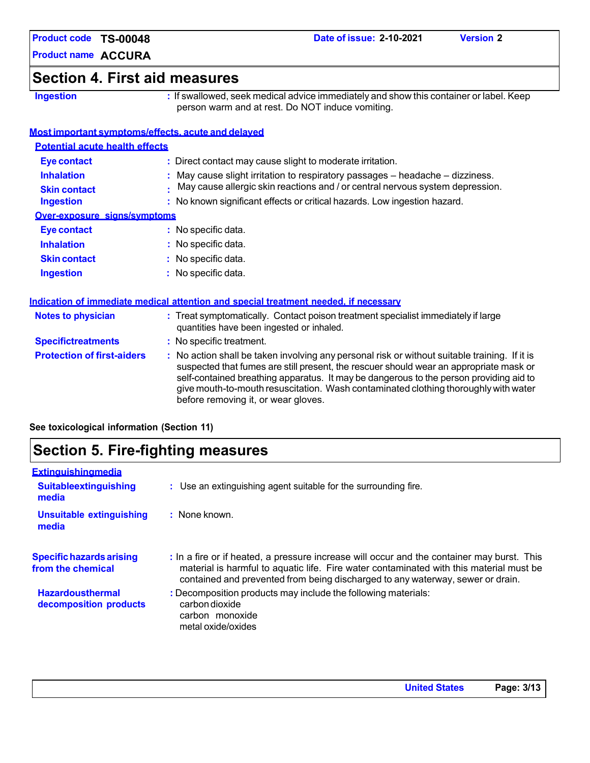**Product name ACCURA** 

## **Section 4. First aid measures**

**Ingestion : If swallowed, seek medical advice immediately and show this container or label. Keep** person warm and at rest. Do NOT induce vomiting.

### **Most important symptoms/effects, acute and delayed**

| <b>Potential acute health effects</b> |                                                                               |  |
|---------------------------------------|-------------------------------------------------------------------------------|--|
| <b>Eye contact</b>                    | : Direct contact may cause slight to moderate irritation.                     |  |
| <b>Inhalation</b>                     | May cause slight irritation to respiratory passages – headache – dizziness.   |  |
| <b>Skin contact</b>                   | May cause allergic skin reactions and / or central nervous system depression. |  |
| <b>Ingestion</b>                      | : No known significant effects or critical hazards. Low ingestion hazard.     |  |
| Over-exposure signs/symptoms          |                                                                               |  |
| <b>Eye contact</b>                    | : No specific data.                                                           |  |
| <b>Inhalation</b>                     | : No specific data.                                                           |  |
| <b>Skin contact</b>                   | : No specific data.                                                           |  |
| <b>Ingestion</b>                      | No specific data.                                                             |  |
|                                       |                                                                               |  |

| indication of immediate medical attention and special treatment needed. If necessary |                                                                                                                                                                                                                                                                                                                                                                                                                 |  |
|--------------------------------------------------------------------------------------|-----------------------------------------------------------------------------------------------------------------------------------------------------------------------------------------------------------------------------------------------------------------------------------------------------------------------------------------------------------------------------------------------------------------|--|
| <b>Notes to physician</b>                                                            | : Treat symptomatically. Contact poison treatment specialist immediately if large<br>quantities have been ingested or inhaled.                                                                                                                                                                                                                                                                                  |  |
| <b>Specifictreatments</b>                                                            | : No specific treatment.                                                                                                                                                                                                                                                                                                                                                                                        |  |
| <b>Protection of first-aiders</b>                                                    | : No action shall be taken involving any personal risk or without suitable training. If it is<br>suspected that fumes are still present, the rescuer should wear an appropriate mask or<br>self-contained breathing apparatus. It may be dangerous to the person providing aid to<br>give mouth-to-mouth resuscitation. Wash contaminated clothing thoroughly with water<br>before removing it, or wear gloves. |  |

**Indication of immediate medical attention and special treatment needed, if necessary**

**See toxicological information (Section 11)**

## **Section 5. Fire-fighting measures**

| : Use an extinguishing agent suitable for the surrounding fire.                                                                                                                                                                                                         |  |
|-------------------------------------------------------------------------------------------------------------------------------------------------------------------------------------------------------------------------------------------------------------------------|--|
| : None known.                                                                                                                                                                                                                                                           |  |
| : In a fire or if heated, a pressure increase will occur and the container may burst. This<br>material is harmful to aquatic life. Fire water contaminated with this material must be<br>contained and prevented from being discharged to any waterway, sewer or drain. |  |
| : Decomposition products may include the following materials:<br>carbon dioxide<br>carbon monoxide<br>metal oxide/oxides                                                                                                                                                |  |
|                                                                                                                                                                                                                                                                         |  |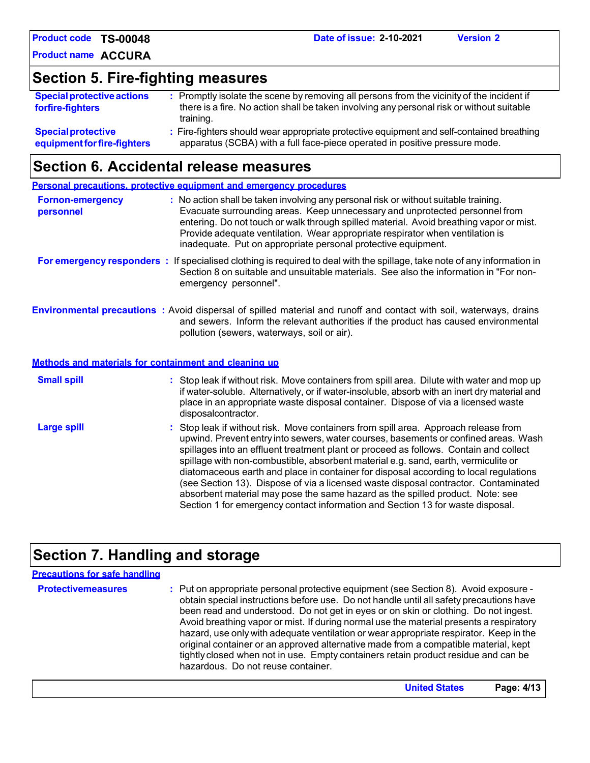**Product name ACCURA** 

# **Section 5. Fire-fighting measures**

| <b>Special protective actions</b><br>forfire-fighters | : Promptly isolate the scene by removing all persons from the vicinity of the incident if<br>there is a fire. No action shall be taken involving any personal risk or without suitable<br>training. |
|-------------------------------------------------------|-----------------------------------------------------------------------------------------------------------------------------------------------------------------------------------------------------|
| <b>Special protective</b>                             | : Fire-fighters should wear appropriate protective equipment and self-contained breathing                                                                                                           |
| equipment for fire-fighters                           | apparatus (SCBA) with a full face-piece operated in positive pressure mode.                                                                                                                         |

### **Section 6. Accidental release measures**

|                                      | <b>Personal precautions, protective equipment and emergency procedures</b>                                                                                                                                                                                                                                                                                                                                                                                                                                                                                                                                                                                                                                   |
|--------------------------------------|--------------------------------------------------------------------------------------------------------------------------------------------------------------------------------------------------------------------------------------------------------------------------------------------------------------------------------------------------------------------------------------------------------------------------------------------------------------------------------------------------------------------------------------------------------------------------------------------------------------------------------------------------------------------------------------------------------------|
| <b>Fornon-emergency</b><br>personnel | : No action shall be taken involving any personal risk or without suitable training.<br>Evacuate surrounding areas. Keep unnecessary and unprotected personnel from<br>entering. Do not touch or walk through spilled material. Avoid breathing vapor or mist.<br>Provide adequate ventilation. Wear appropriate respirator when ventilation is<br>inadequate. Put on appropriate personal protective equipment.                                                                                                                                                                                                                                                                                             |
|                                      | For emergency responders : If specialised clothing is required to deal with the spillage, take note of any information in<br>Section 8 on suitable and unsuitable materials. See also the information in "For non-<br>emergency personnel".                                                                                                                                                                                                                                                                                                                                                                                                                                                                  |
|                                      | <b>Environmental precautions</b> : Avoid dispersal of spilled material and runoff and contact with soil, waterways, drains<br>and sewers. Inform the relevant authorities if the product has caused environmental<br>pollution (sewers, waterways, soil or air).                                                                                                                                                                                                                                                                                                                                                                                                                                             |
|                                      | Methods and materials for containment and cleaning up                                                                                                                                                                                                                                                                                                                                                                                                                                                                                                                                                                                                                                                        |
| <b>Small spill</b>                   | : Stop leak if without risk. Move containers from spill area. Dilute with water and mop up<br>if water-soluble. Alternatively, or if water-insoluble, absorb with an inert dry material and<br>place in an appropriate waste disposal container. Dispose of via a licensed waste<br>disposalcontractor.                                                                                                                                                                                                                                                                                                                                                                                                      |
| <b>Large spill</b>                   | : Stop leak if without risk. Move containers from spill area. Approach release from<br>upwind. Prevent entry into sewers, water courses, basements or confined areas. Wash<br>spillages into an effluent treatment plant or proceed as follows. Contain and collect<br>spillage with non-combustible, absorbent material e.g. sand, earth, vermiculite or<br>diatomaceous earth and place in container for disposal according to local regulations<br>(see Section 13). Dispose of via a licensed waste disposal contractor. Contaminated<br>absorbent material may pose the same hazard as the spilled product. Note: see<br>Section 1 for emergency contact information and Section 13 for waste disposal. |

# **Section 7. Handling and storage**

| <b>Precautions for safe handling</b> |                                                                                                                                                                                                                                                                                                                                                                                                                                                                                                                                                                                                                                                                                |
|--------------------------------------|--------------------------------------------------------------------------------------------------------------------------------------------------------------------------------------------------------------------------------------------------------------------------------------------------------------------------------------------------------------------------------------------------------------------------------------------------------------------------------------------------------------------------------------------------------------------------------------------------------------------------------------------------------------------------------|
| <b>Protectivemeasures</b>            | : Put on appropriate personal protective equipment (see Section 8). Avoid exposure -<br>obtain special instructions before use. Do not handle until all safety precautions have<br>been read and understood. Do not get in eyes or on skin or clothing. Do not ingest.<br>Avoid breathing vapor or mist. If during normal use the material presents a respiratory<br>hazard, use only with adequate ventilation or wear appropriate respirator. Keep in the<br>original container or an approved alternative made from a compatible material, kept<br>tightly closed when not in use. Empty containers retain product residue and can be<br>hazardous. Do not reuse container. |
|                                      |                                                                                                                                                                                                                                                                                                                                                                                                                                                                                                                                                                                                                                                                                |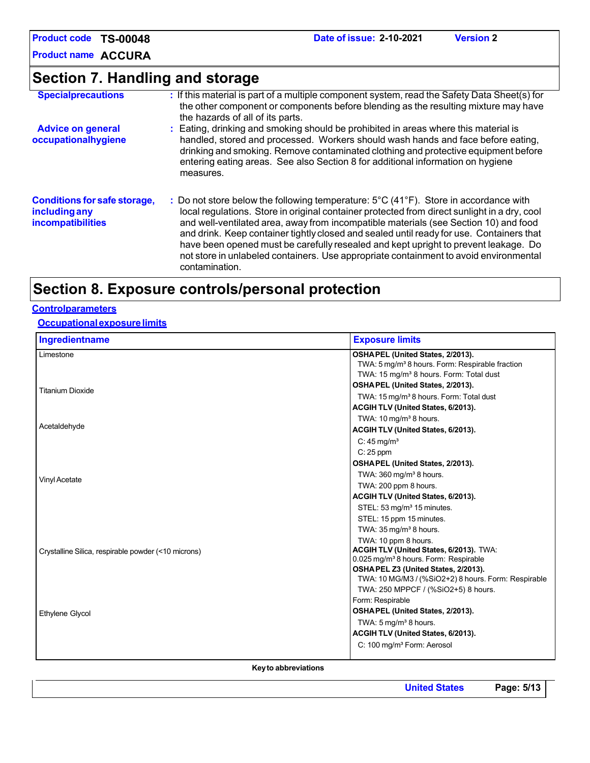**Product name ACCURA** 

# **Section 7. Handling and storage**

| <b>Specialprecautions</b>                                                        | : If this material is part of a multiple component system, read the Safety Data Sheet(s) for<br>the other component or components before blending as the resulting mixture may have<br>the hazards of all of its parts.                                                                                                                                                                                                                                                                                                                                                                         |
|----------------------------------------------------------------------------------|-------------------------------------------------------------------------------------------------------------------------------------------------------------------------------------------------------------------------------------------------------------------------------------------------------------------------------------------------------------------------------------------------------------------------------------------------------------------------------------------------------------------------------------------------------------------------------------------------|
| <b>Advice on general</b><br>occupationalhygiene                                  | : Eating, drinking and smoking should be prohibited in areas where this material is<br>handled, stored and processed. Workers should wash hands and face before eating,<br>drinking and smoking. Remove contaminated clothing and protective equipment before<br>entering eating areas. See also Section 8 for additional information on hygiene<br>measures.                                                                                                                                                                                                                                   |
| <b>Conditions for safe storage,</b><br><b>including any</b><br>incompatibilities | : Do not store below the following temperature: $5^{\circ}$ C (41 $^{\circ}$ F). Store in accordance with<br>local regulations. Store in original container protected from direct sunlight in a dry, cool<br>and well-ventilated area, away from incompatible materials (see Section 10) and food<br>and drink. Keep container tightly closed and sealed until ready for use. Containers that<br>have been opened must be carefully resealed and kept upright to prevent leakage. Do<br>not store in unlabeled containers. Use appropriate containment to avoid environmental<br>contamination. |

## **Section 8. Exposure controls/personal protection**

#### **Controlparameters**

#### **Occupational exposure limits**

| Ingredientname                                      | <b>Exposure limits</b>                                                                          |
|-----------------------------------------------------|-------------------------------------------------------------------------------------------------|
| Limestone                                           | OSHAPEL (United States, 2/2013).<br>TWA: 5 mg/m <sup>3</sup> 8 hours. Form: Respirable fraction |
|                                                     | TWA: 15 mg/m <sup>3</sup> 8 hours. Form: Total dust                                             |
|                                                     | OSHAPEL (United States, 2/2013).                                                                |
| <b>Titanium Dioxide</b>                             | TWA: 15 mg/m <sup>3</sup> 8 hours. Form: Total dust                                             |
|                                                     | ACGIH TLV (United States, 6/2013).                                                              |
|                                                     | TWA: $10 \,\mathrm{mg/m^3}$ 8 hours.                                                            |
| Acetaldehyde                                        | ACGIH TLV (United States, 6/2013).                                                              |
|                                                     | C: $45 \text{ mg/m}^3$                                                                          |
|                                                     | $C: 25$ ppm                                                                                     |
|                                                     | OSHAPEL (United States, 2/2013).                                                                |
| <b>Vinyl Acetate</b>                                | TWA: $360 \,\mathrm{mg/m^3}$ 8 hours.                                                           |
|                                                     | TWA: 200 ppm 8 hours.                                                                           |
|                                                     | ACGIH TLV (United States, 6/2013).                                                              |
|                                                     | STEL: 53 mg/m <sup>3</sup> 15 minutes.                                                          |
|                                                     | STEL: 15 ppm 15 minutes.                                                                        |
|                                                     | TWA: $35 \,\mathrm{mg/m^3}$ 8 hours.                                                            |
|                                                     | TWA: 10 ppm 8 hours.                                                                            |
| Crystalline Silica, respirable powder (<10 microns) | ACGIH TLV (United States, 6/2013). TWA:<br>0.025 mg/m <sup>3</sup> 8 hours. Form: Respirable    |
|                                                     | OSHA PEL Z3 (United States, 2/2013).                                                            |
|                                                     | TWA: 10 MG/M3 / (%SiO2+2) 8 hours. Form: Respirable                                             |
|                                                     | TWA: 250 MPPCF / (%SiO2+5) 8 hours.                                                             |
|                                                     | Form: Respirable                                                                                |
| <b>Ethylene Glycol</b>                              | OSHAPEL (United States, 2/2013).                                                                |
|                                                     | TWA: $5 \,\mathrm{mg/m^3}$ 8 hours.                                                             |
|                                                     | ACGIH TLV (United States, 6/2013).                                                              |
|                                                     | C: 100 mg/m <sup>3</sup> Form: Aerosol                                                          |
|                                                     |                                                                                                 |

**Key to abbreviations**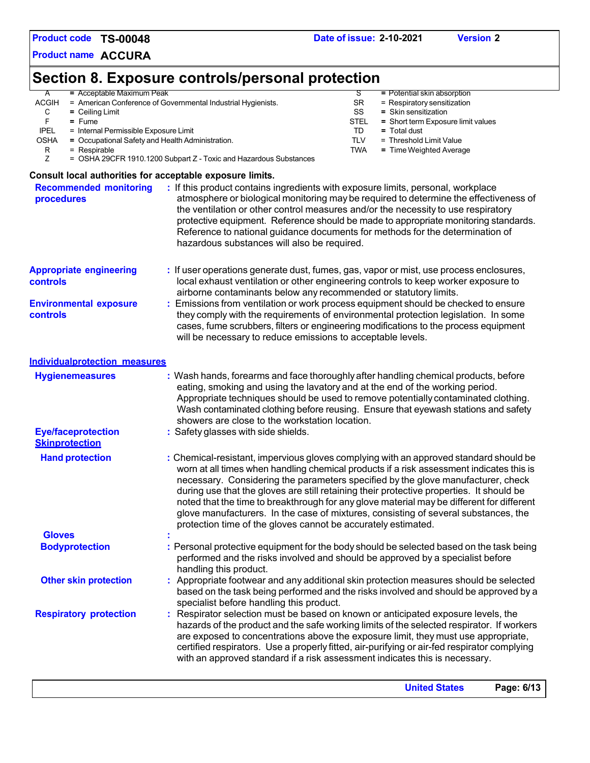**Product name ACCURA** 

# **Section 8. Exposure controls/personal protection**

| A            | $=$ Acceptable Maximum Peak                                                                                       |             | $=$ Potential skin absorption      |
|--------------|-------------------------------------------------------------------------------------------------------------------|-------------|------------------------------------|
| <b>ACGIH</b> | = American Conference of Governmental Industrial Hygienists.                                                      | <b>SR</b>   | $=$ Respiratory sensitization      |
| С            | $=$ Ceiling Limit                                                                                                 | SS          | $=$ Skin sensitization             |
|              | $=$ Fume                                                                                                          | <b>STEL</b> | = Short term Exposure limit values |
| <b>IPEL</b>  | = Internal Permissible Exposure Limit                                                                             | TD          | $=$ Total dust                     |
| <b>OSHA</b>  | = Occupational Safety and Health Administration.                                                                  | TLV         | = Threshold Limit Value            |
| R            | $=$ Respirable                                                                                                    | <b>TWA</b>  | $=$ Time Weighted Average          |
|              | = OSHA 29CFR 1910.1200 Subpart Z - Toxic and Hazardous Substances                                                 |             |                                    |
|              | Consult local authorities for acceptable exposure limits.                                                         |             |                                    |
|              | : If this product contains ingredients with exposure limits, personal, workplace<br><b>Recommended monitoring</b> |             |                                    |

| <b>Recommended monitoring</b><br>procedures        | : If this product contains ingredients with exposure limits, personal, workplace<br>atmosphere or biological monitoring may be required to determine the effectiveness of<br>the ventilation or other control measures and/or the necessity to use respiratory<br>protective equipment. Reference should be made to appropriate monitoring standards.<br>Reference to national guidance documents for methods for the determination of<br>hazardous substances will also be required. |
|----------------------------------------------------|---------------------------------------------------------------------------------------------------------------------------------------------------------------------------------------------------------------------------------------------------------------------------------------------------------------------------------------------------------------------------------------------------------------------------------------------------------------------------------------|
| <b>Appropriate engineering</b><br><b>controls</b>  | : If user operations generate dust, fumes, gas, vapor or mist, use process enclosures,<br>local exhaust ventilation or other engineering controls to keep worker exposure to<br>airborne contaminants below any recommended or statutory limits.                                                                                                                                                                                                                                      |
| <b>Environmental exposure</b><br><b>controls</b>   | Emissions from ventilation or work process equipment should be checked to ensure<br>they comply with the requirements of environmental protection legislation. In some<br>cases, fume scrubbers, filters or engineering modifications to the process equipment<br>will be necessary to reduce emissions to acceptable levels.                                                                                                                                                         |
| Individualprotection measures                      |                                                                                                                                                                                                                                                                                                                                                                                                                                                                                       |
| <b>Hygienemeasures</b>                             | : Wash hands, forearms and face thoroughly after handling chemical products, before<br>eating, smoking and using the lavatory and at the end of the working period.<br>Appropriate techniques should be used to remove potentially contaminated clothing.<br>Wash contaminated clothing before reusing. Ensure that eyewash stations and safety<br>showers are close to the workstation location.                                                                                     |
| <b>Eye/faceprotection</b><br><b>Skinprotection</b> | : Safety glasses with side shields.                                                                                                                                                                                                                                                                                                                                                                                                                                                   |
| <b>Hand protection</b>                             | : Chemical-resistant, impervious gloves complying with an approved standard should be<br>worn at all times when handling chemical products if a risk assessment indicates this is<br>necessary. Considering the parameters specified by the glove manufacturer, check<br>during use that the gloves are still retaining their protective properties. It should be                                                                                                                     |

|                               | noted that the time to breakthrough for any glove material may be different for different<br>glove manufacturers. In the case of mixtures, consisting of several substances, the<br>protection time of the gloves cannot be accurately estimated.                                                                                                                                                                                                  |
|-------------------------------|----------------------------------------------------------------------------------------------------------------------------------------------------------------------------------------------------------------------------------------------------------------------------------------------------------------------------------------------------------------------------------------------------------------------------------------------------|
| <b>Gloves</b>                 |                                                                                                                                                                                                                                                                                                                                                                                                                                                    |
| <b>Bodyprotection</b>         | : Personal protective equipment for the body should be selected based on the task being<br>performed and the risks involved and should be approved by a specialist before<br>handling this product.                                                                                                                                                                                                                                                |
| <b>Other skin protection</b>  | : Appropriate footwear and any additional skin protection measures should be selected<br>based on the task being performed and the risks involved and should be approved by a<br>specialist before handling this product.                                                                                                                                                                                                                          |
| <b>Respiratory protection</b> | : Respirator selection must be based on known or anticipated exposure levels, the<br>hazards of the product and the safe working limits of the selected respirator. If workers<br>are exposed to concentrations above the exposure limit, they must use appropriate,<br>certified respirators. Use a properly fitted, air-purifying or air-fed respirator complying<br>with an approved standard if a risk assessment indicates this is necessary. |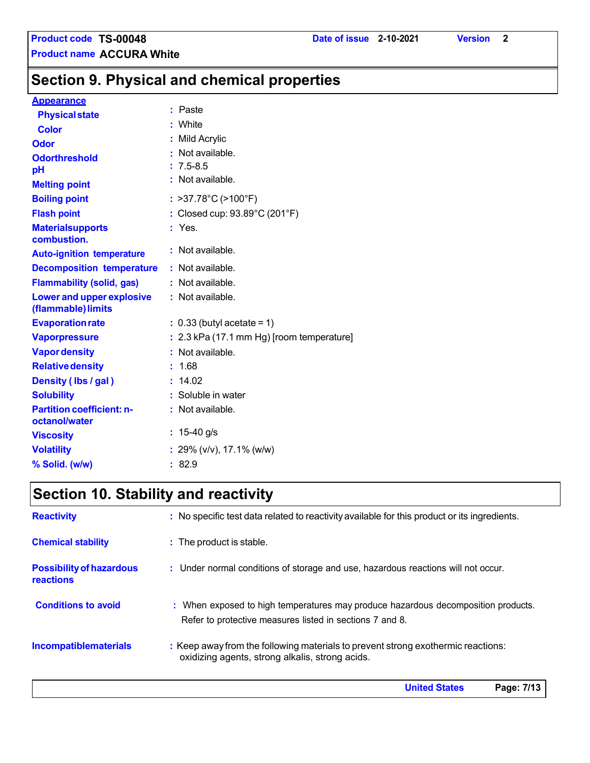**Section 9. Physical and chemical properties** 

#### **Appearance**

| <b>Physical state</b>                             | : Paste                                   |
|---------------------------------------------------|-------------------------------------------|
| <b>Color</b>                                      | : White                                   |
| <b>Odor</b>                                       | : Mild Acrylic                            |
| <b>Odorthreshold</b>                              | : Not available.                          |
| pH                                                | $: 7.5 - 8.5$                             |
| <b>Melting point</b>                              | : Not available.                          |
| <b>Boiling point</b>                              | : >37.78°C (>100°F)                       |
| <b>Flash point</b>                                | : Closed cup: 93.89°C (201°F)             |
| <b>Materialsupports</b><br>combustion.            | $:$ Yes.                                  |
| <b>Auto-ignition temperature</b>                  | $:$ Not available.                        |
| <b>Decomposition temperature</b>                  | : Not available.                          |
| <b>Flammability (solid, gas)</b>                  | : Not available.                          |
| Lower and upper explosive<br>(flammable) limits   | : Not available.                          |
| <b>Evaporation rate</b>                           | $: 0.33$ (butyl acetate = 1)              |
| <b>Vaporpressure</b>                              | : 2.3 kPa (17.1 mm Hg) [room temperature] |
| <b>Vapor density</b>                              | : Not available.                          |
| <b>Relative density</b>                           | : 1.68                                    |
| Density (Ibs / gal)                               | : 14.02                                   |
| <b>Solubility</b>                                 | : Soluble in water                        |
| <b>Partition coefficient: n-</b><br>octanol/water | $:$ Not available.                        |
| <b>Viscosity</b>                                  | : $15-40$ g/s                             |
| <b>Volatility</b>                                 | : 29% (v/v), 17.1% (w/w)                  |
| % Solid. (w/w)                                    | :82.9                                     |

# **Section 10. Stability and reactivity**

| <b>Reactivity</b>                            | : No specific test data related to reactivity available for this product or its ingredients.                                                  |
|----------------------------------------------|-----------------------------------------------------------------------------------------------------------------------------------------------|
| <b>Chemical stability</b>                    | : The product is stable.                                                                                                                      |
| <b>Possibility of hazardous</b><br>reactions | : Under normal conditions of storage and use, hazardous reactions will not occur.                                                             |
| <b>Conditions to avoid</b>                   | : When exposed to high temperatures may produce hazardous decomposition products.<br>Refer to protective measures listed in sections 7 and 8. |
| <b>Incompatiblematerials</b>                 | : Keep away from the following materials to prevent strong exothermic reactions:<br>oxidizing agents, strong alkalis, strong acids.           |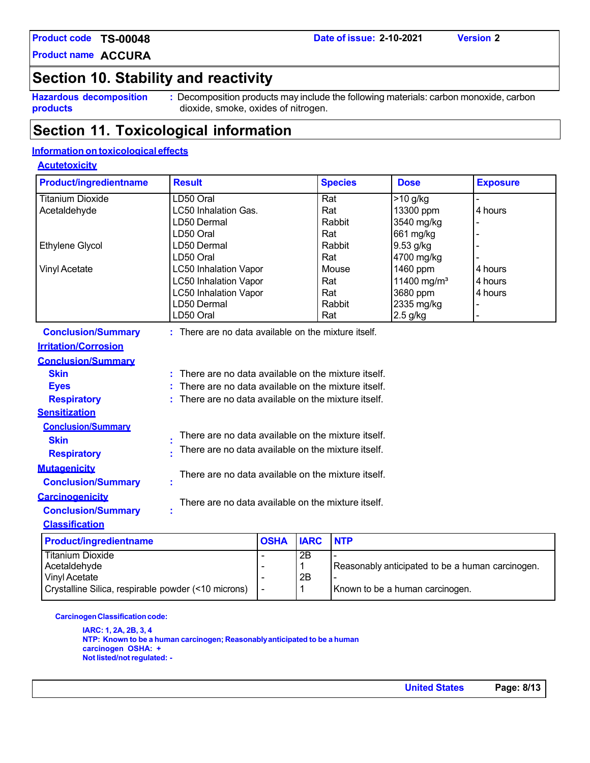**Product name ACCURA** 

# **Section 10. Stability and reactivity**

**Hazardous decomposition products**

**:** Decomposition products may include the following materials: carbon monoxide, carbon dioxide, smoke, oxides of nitrogen.

### **Section 11. Toxicological information**

### **Information on toxicological effects**

#### **Acutetoxicity**

| <b>Product/ingredientname</b> | <b>Result</b>                                            |                                                    |             | <b>Species</b> | <b>Dose</b>             | <b>Exposure</b> |
|-------------------------------|----------------------------------------------------------|----------------------------------------------------|-------------|----------------|-------------------------|-----------------|
| <b>Titanium Dioxide</b>       | LD50 Oral                                                |                                                    |             | Rat            | $>10$ g/kg              |                 |
| Acetaldehyde                  | <b>LC50 Inhalation Gas.</b>                              |                                                    |             | Rat            | 13300 ppm               | 4 hours         |
|                               | LD50 Dermal                                              |                                                    |             | Rabbit         | 3540 mg/kg              |                 |
|                               | LD50 Oral                                                |                                                    |             | Rat            | 661 mg/kg               |                 |
| <b>Ethylene Glycol</b>        | LD50 Dermal                                              |                                                    |             | Rabbit         | 9.53 g/kg               |                 |
|                               | LD50 Oral                                                |                                                    |             | Rat            | 4700 mg/kg              |                 |
| <b>Vinyl Acetate</b>          | <b>LC50 Inhalation Vapor</b>                             |                                                    |             | Mouse          | 1460 ppm                | 4 hours         |
|                               | <b>LC50 Inhalation Vapor</b>                             |                                                    |             | Rat            | 11400 mg/m <sup>3</sup> | 4 hours         |
|                               | <b>LC50 Inhalation Vapor</b>                             |                                                    |             | Rat            | 3680 ppm                | 4 hours         |
|                               | LD50 Dermal                                              |                                                    |             | Rabbit         | 2335 mg/kg              |                 |
|                               | LD50 Oral                                                |                                                    |             | Rat            | $2.5$ g/kg              |                 |
| <b>Conclusion/Summary</b>     | : There are no data available on the mixture itself.     |                                                    |             |                |                         |                 |
| <b>Irritation/Corrosion</b>   |                                                          |                                                    |             |                |                         |                 |
| <b>Conclusion/Summary</b>     |                                                          |                                                    |             |                |                         |                 |
| <b>Skin</b>                   | There are no data available on the mixture itself.<br>ŧ. |                                                    |             |                |                         |                 |
| <b>Eyes</b>                   | There are no data available on the mixture itself.       |                                                    |             |                |                         |                 |
| <b>Respiratory</b>            |                                                          | There are no data available on the mixture itself. |             |                |                         |                 |
| <b>Sensitization</b>          |                                                          |                                                    |             |                |                         |                 |
| <b>Conclusion/Summary</b>     |                                                          |                                                    |             |                |                         |                 |
| <b>Skin</b>                   | There are no data available on the mixture itself.       |                                                    |             |                |                         |                 |
| <b>Respiratory</b>            | There are no data available on the mixture itself.       |                                                    |             |                |                         |                 |
| <b>Mutagenicity</b>           |                                                          |                                                    |             |                |                         |                 |
| <b>Conclusion/Summary</b>     | There are no data available on the mixture itself.       |                                                    |             |                |                         |                 |
| <b>Carcinogenicity</b>        |                                                          |                                                    |             |                |                         |                 |
| <b>Conclusion/Summary</b>     | There are no data available on the mixture itself.       |                                                    |             |                |                         |                 |
| <b>Classification</b>         |                                                          |                                                    |             |                |                         |                 |
| <b>Product/ingredientname</b> |                                                          | <b>OSHA</b>                                        | <b>IARC</b> | <b>NTP</b>     |                         |                 |
| <b>Titanium Dioxide</b>       |                                                          | $\blacksquare$                                     | 2B          |                |                         |                 |
|                               |                                                          |                                                    |             |                |                         |                 |

| Titanium Dioxide                                        | 2Β |                                                  |
|---------------------------------------------------------|----|--------------------------------------------------|
| Acetaldehvde                                            |    | Reasonably anticipated to be a human carcinogen. |
| Vinvl Acetate                                           | 2B |                                                  |
| Crystalline Silica, respirable powder (<10 microns)   - |    | Known to be a human carcinogen.                  |
|                                                         |    |                                                  |

#### **Carcinogen Classification code:**

**IARC: 1, 2A, 2B, 3, 4 NTP: Known to be a human carcinogen; Reasonably anticipated to be a human carcinogen OSHA: + Not listed/not regulated: -**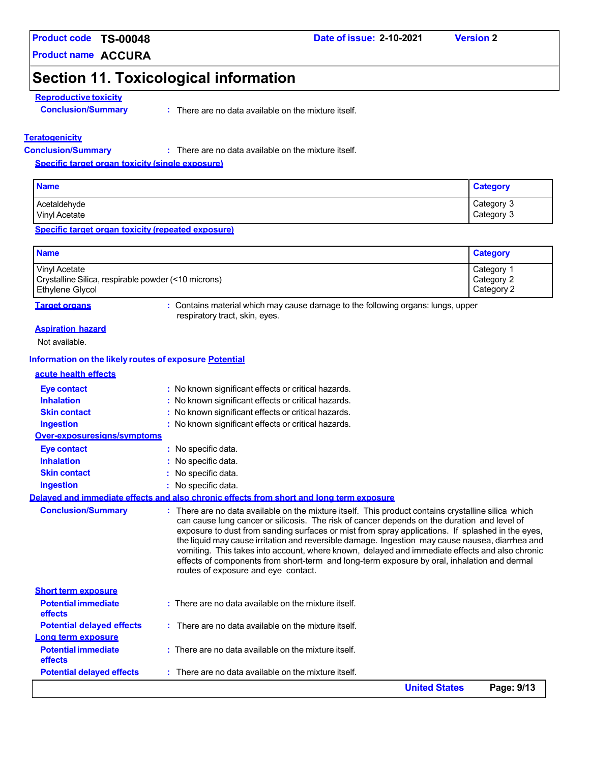**Product name ACCURA** 

#### **Date of issue: 2-10-2021 Version 2**

# **Section 11. Toxicological information**

### **Reproductive toxicity**

: There are no data available on the mixture itself.

#### **Teratogenicity**

**Conclusion/Summary :**

There are no data available on the mixture itself.

**Specific target organ toxicity (single exposure)**

| <b>Name</b>                   | <b>Category</b>          |
|-------------------------------|--------------------------|
| Acetaldehyde<br>Vinyl Acetate | Category 3<br>Category 3 |

**Specific target organ toxicity (repeated exposure)**

| <b>Name</b>                                         | <b>Category</b> |
|-----------------------------------------------------|-----------------|
| Vinyl Acetate                                       | Category 1      |
| Crystalline Silica, respirable powder (<10 microns) | Category 2      |
| <b>Ethylene Glycol</b>                              | Category 2      |

**Target organs <b>Starf** organs : Contains material which may cause damage to the following organs: lungs, upper respiratory tract, skin, eyes.

#### **Aspiration hazard**

Not available.

#### **Information on the likely routes of exposure Potential**

| acute health effects                  |                                                                                                                                                                                                                                                                                                                                                                                                                                                                                                                                                                                                                                                   |
|---------------------------------------|---------------------------------------------------------------------------------------------------------------------------------------------------------------------------------------------------------------------------------------------------------------------------------------------------------------------------------------------------------------------------------------------------------------------------------------------------------------------------------------------------------------------------------------------------------------------------------------------------------------------------------------------------|
| <b>Eye contact</b>                    | : No known significant effects or critical hazards.                                                                                                                                                                                                                                                                                                                                                                                                                                                                                                                                                                                               |
| <b>Inhalation</b>                     | : No known significant effects or critical hazards.                                                                                                                                                                                                                                                                                                                                                                                                                                                                                                                                                                                               |
| <b>Skin contact</b>                   | : No known significant effects or critical hazards.                                                                                                                                                                                                                                                                                                                                                                                                                                                                                                                                                                                               |
| <b>Ingestion</b>                      | : No known significant effects or critical hazards.                                                                                                                                                                                                                                                                                                                                                                                                                                                                                                                                                                                               |
| Over-exposuresians/symptoms           |                                                                                                                                                                                                                                                                                                                                                                                                                                                                                                                                                                                                                                                   |
| <b>Eye contact</b>                    | : No specific data.                                                                                                                                                                                                                                                                                                                                                                                                                                                                                                                                                                                                                               |
| <b>Inhalation</b>                     | : No specific data.                                                                                                                                                                                                                                                                                                                                                                                                                                                                                                                                                                                                                               |
| <b>Skin contact</b>                   | : No specific data.                                                                                                                                                                                                                                                                                                                                                                                                                                                                                                                                                                                                                               |
| <b>Ingestion</b>                      | : No specific data.                                                                                                                                                                                                                                                                                                                                                                                                                                                                                                                                                                                                                               |
|                                       | Delaved and immediate effects and also chronic effects from short and long term exposure                                                                                                                                                                                                                                                                                                                                                                                                                                                                                                                                                          |
| <b>Conclusion/Summary</b>             | : There are no data available on the mixture itself. This product contains crystalline silica which<br>can cause lung cancer or silicosis. The risk of cancer depends on the duration and level of<br>exposure to dust from sanding surfaces or mist from spray applications. If splashed in the eyes,<br>the liquid may cause irritation and reversible damage. Ingestion may cause nausea, diarrhea and<br>vomiting. This takes into account, where known, delayed and immediate effects and also chronic<br>effects of components from short-term and long-term exposure by oral, inhalation and dermal<br>routes of exposure and eye contact. |
| <b>Short term exposure</b>            |                                                                                                                                                                                                                                                                                                                                                                                                                                                                                                                                                                                                                                                   |
| <b>Potential immediate</b><br>effects | : There are no data available on the mixture itself.                                                                                                                                                                                                                                                                                                                                                                                                                                                                                                                                                                                              |
| <b>Potential delayed effects</b>      | : There are no data available on the mixture itself.                                                                                                                                                                                                                                                                                                                                                                                                                                                                                                                                                                                              |
| Long term exposure                    |                                                                                                                                                                                                                                                                                                                                                                                                                                                                                                                                                                                                                                                   |
| <b>Potential immediate</b><br>effects | $:$ There are no data available on the mixture itself.                                                                                                                                                                                                                                                                                                                                                                                                                                                                                                                                                                                            |
| <b>Potential delayed effects</b>      | $:$ There are no data available on the mixture itself.                                                                                                                                                                                                                                                                                                                                                                                                                                                                                                                                                                                            |
|                                       | <b>United States</b><br>Page: 9/13                                                                                                                                                                                                                                                                                                                                                                                                                                                                                                                                                                                                                |

**Conclusion/Summary :**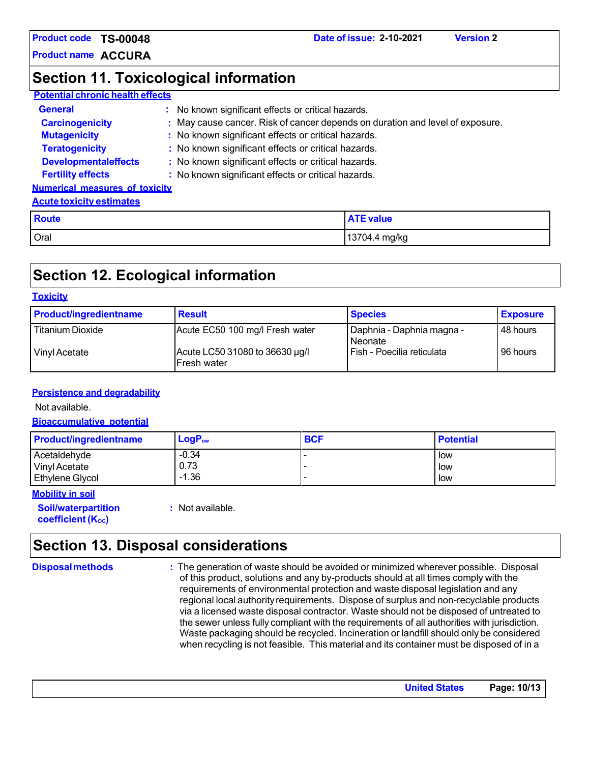**Product name ACCURA** 

### **Section 11. Toxicological information**

### **Potential chronic health effects**

| <b>General</b>                        | : No known significant effects or critical hazards.                           |
|---------------------------------------|-------------------------------------------------------------------------------|
| <b>Carcinogenicity</b>                | : May cause cancer. Risk of cancer depends on duration and level of exposure. |
| <b>Mutagenicity</b>                   | : No known significant effects or critical hazards.                           |
| <b>Teratogenicity</b>                 | : No known significant effects or critical hazards.                           |
| <b>Developmentaleffects</b>           | : No known significant effects or critical hazards.                           |
| <b>Fertility effects</b>              | : No known significant effects or critical hazards.                           |
| <b>Numerical measures of toxicity</b> |                                                                               |

#### **Acute toxicity estimates**

| <b>Route</b> | <b>ATE value</b> |
|--------------|------------------|
| Oral         | 13704.4 mg/kg    |

## **Section 12. Ecological information**

#### **Toxicity**

| <b>Product/ingredientname</b> | <b>Result</b>                                         | <b>Species</b>                       | <b>Exposure</b> |
|-------------------------------|-------------------------------------------------------|--------------------------------------|-----------------|
| <b>Titanium Dioxide</b>       | Acute EC50 100 mg/l Fresh water                       | Daphnia - Daphnia magna -<br>Neonate | 48 hours        |
| Vinyl Acetate                 | Acute LC50 31080 to 36630 µg/l<br><b>IFresh water</b> | Fish - Poecilia reticulata           | 96 hours        |

#### **Persistence and degradability**

Not available.

#### **Bioaccumulative potential**

| <b>Product/ingredientname</b> | $LogP_{ow}$ | <b>BCF</b> | <b>Potential</b> |
|-------------------------------|-------------|------------|------------------|
| Acetaldehyde                  | $-0.34$     |            | l low            |
| Vinyl Acetate                 | 0.73        |            | l low            |
| <b>Ethylene Glycol</b>        | $-1.36$     |            | l low            |

#### **Mobility in soil**

**Soil/waterpartition coefficient (Koc)** 

**:** Not available.

## **Section 13. Disposal considerations**

**Disposal methods :** The generation of waste should be avoided or minimized wherever possible. Disposal of this product, solutions and any by-products should at all times comply with the requirements of environmental protection and waste disposal legislation and any regional local authority requirements. Dispose of surplus and non-recyclable products via a licensed waste disposal contractor. Waste should not be disposed of untreated to the sewer unless fully compliant with the requirements of all authorities with jurisdiction. Waste packaging should be recycled. Incineration or landfill should only be considered when recycling is not feasible. This material and its container must be disposed of in a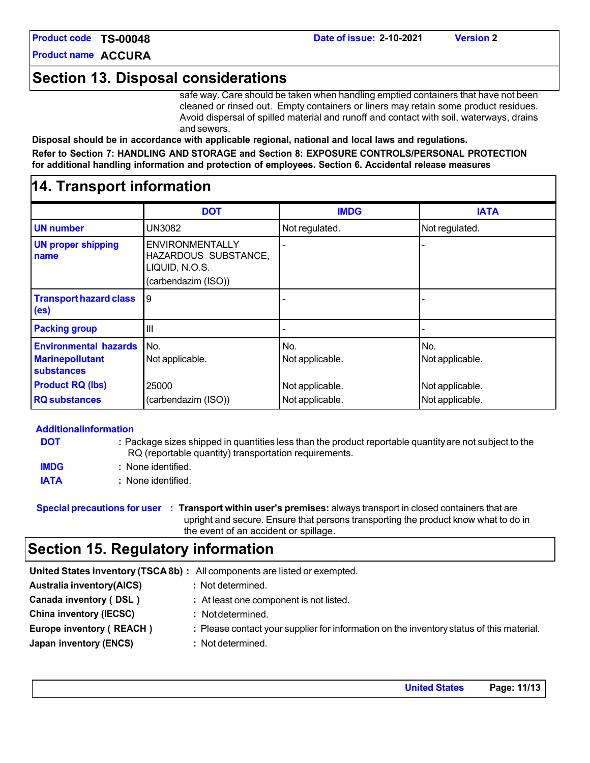### **Date of issue: 2-10-2021 Version 2**

### **Section 13. Disposal considerations**

safe way. Care should be taken when handling emptied containers that have not been cleaned or rinsed out. Empty containers or liners may retain some product residues. Avoid dispersal of spilled material and runoff and contact with soil, waterways, drains and sewers.

**Disposal should be in accordance with applicable regional, national and local laws and regulations. Refer to Section 7: HANDLING AND STORAGE and Section 8: EXPOSURE CONTROLS/PERSONAL PROTECTION for additional handling information and protection of employees. Section 6. Accidental release measures**

### **14. Transport information**

|                                                                      | <b>DOT</b>                                                                              | <b>IMDG</b>            | <b>IATA</b>            |
|----------------------------------------------------------------------|-----------------------------------------------------------------------------------------|------------------------|------------------------|
| <b>UN</b> number                                                     | UN3082                                                                                  | Not regulated.         | Not regulated.         |
| <b>UN proper shipping</b><br>name                                    | <b>ENVIRONMENTALLY</b><br>HAZARDOUS SUBSTANCE,<br>LIQUID, N.O.S.<br>(carbendazim (ISO)) |                        |                        |
| <b>Transport hazard class</b><br>(e <sub>s</sub> )                   | 9                                                                                       |                        |                        |
| <b>Packing group</b>                                                 | $\mathbf{III}$                                                                          |                        |                        |
| <b>Environmental hazards</b><br><b>Marinepollutant</b><br>substances | No.<br>Not applicable.                                                                  | No.<br>Not applicable. | No.<br>Not applicable. |
| <b>Product RQ (lbs)</b>                                              | 25000                                                                                   | Not applicable.        | Not applicable.        |
| <b>RQ</b> substances                                                 | (carbendazim (ISO))                                                                     | Not applicable.        | Not applicable.        |

|             | <b>Additionalinformation</b>                                                                                                                                    |
|-------------|-----------------------------------------------------------------------------------------------------------------------------------------------------------------|
| <b>DOT</b>  | : Package sizes shipped in quantities less than the product reportable quantity are not subject to the<br>RQ (reportable quantity) transportation requirements. |
| <b>IMDG</b> | : None identified.                                                                                                                                              |
| <b>IATA</b> | : None identified.                                                                                                                                              |

**Special precautions for user : Transport within user's premises:** always transport in closed containers that are upright and secure. Ensure that persons transporting the product know what to do in the event of an accident or spillage.

### **Section 15. Regulatory information**

|                                  | United States inventory (TSCA 8b) : All components are listed or exempted.               |
|----------------------------------|------------------------------------------------------------------------------------------|
| <b>Australia inventory(AICS)</b> | : Not determined.                                                                        |
| Canada inventory (DSL)           | : At least one component is not listed.                                                  |
| <b>China inventory (IECSC)</b>   | : Not determined.                                                                        |
| Europe inventory (REACH)         | : Please contact your supplier for information on the inventory status of this material. |
| Japan inventory (ENCS)           | : Not determined.                                                                        |
|                                  |                                                                                          |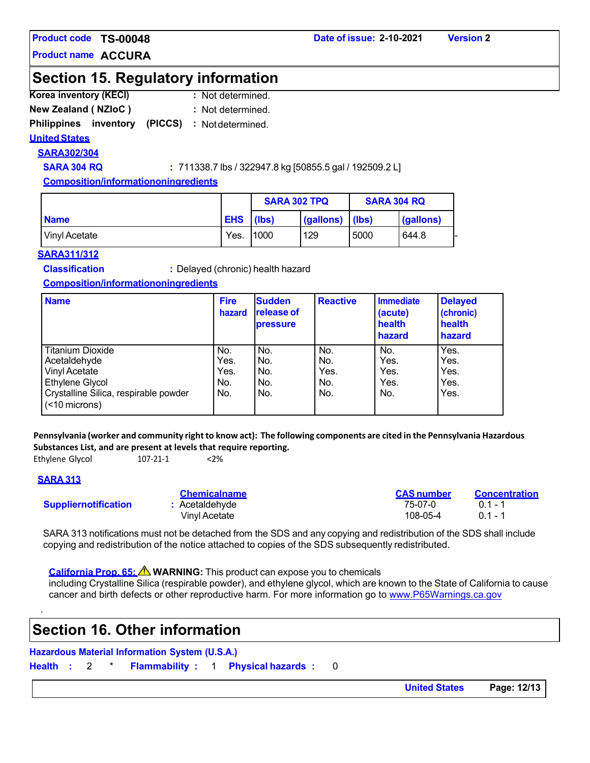**Product name ACCURA** 

### **Section 15. Regulatory information**

- **Korea inventory (KECI) :**  : Not determined.
- **New Zealand ( NZIoC ) :**  : Not determined.

### Philippines inventory (PICCS) : Not determined.

### **United States**

**SARA302/304**

**SARA 304 RQ :**  $711338.7$  **lbs / 322947.8 kg [50855.5 gal / 192509.2 L]** 

**Composition/informationoningredients**

|                 |            | <b>SARA 302 TPQ</b> |           | <b>SARA 304 RQ</b> |           |
|-----------------|------------|---------------------|-----------|--------------------|-----------|
| <b>Name</b>     | <b>EHS</b> | (Ibs)               | (gallons) | l (Ibs)            | (gallons) |
| l Vinvl Acetate | Yes.       | 1000                | 129       | 5000               | 644.8     |

#### **SARA311/312**

**Classification :** Delayed (chronic) health hazard

#### **Composition/informationoningredients**

| <b>Name</b>                                                                                                                           | <b>Fire</b><br>hazard             | <b>Sudden</b><br><b>release of</b><br><b>pressure</b> | <b>Reactive</b>                  | <b>Immediate</b><br>(acute)<br>health<br>hazard | <b>Delayed</b><br>(chronic)<br>health<br>hazard |
|---------------------------------------------------------------------------------------------------------------------------------------|-----------------------------------|-------------------------------------------------------|----------------------------------|-------------------------------------------------|-------------------------------------------------|
| <b>Titanium Dioxide</b><br>Acetaldehyde<br>Vinyl Acetate<br>Ethylene Glycol<br>Crystalline Silica, respirable powder<br>(<10 microns) | No.<br>Yes.<br>Yes.<br>No.<br>No. | No.<br>No.<br>No.<br>No.<br>No.                       | No.<br>No.<br>Yes.<br>No.<br>No. | No.<br>Yes.<br>Yes.<br>Yes.<br>No.              | Yes.<br>Yes.<br>Yes.<br>Yes.<br>Yes.            |

Pennsylvania (worker and community right to know act): The following components are cited in the Pennsylvania Hazardous **Substances List, and are present at levels that require reporting.**

Ethylene Glycol 107-21-1 <2%

### **SARA 313**

.

|                             | <b>Chemicalname</b> | <b>CAS</b> number | <b>Concentration</b> |
|-----------------------------|---------------------|-------------------|----------------------|
| <b>Suppliernotification</b> | Acetaldehyde        | 75-07-0           | $01 - 1$             |
|                             | Vinvl Acetate       | 108-05-4          | $01 - 1$             |

SARA 313 notifications must not be detached from the SDS and any copying and redistribution of the SDS shall include copying and redistribution of the notice attached to copies of the SDS subsequently redistributed.

California Prop. 65: △ WARNING: This product can expose you to chemicals

including Crystalline Silica (respirable powder), and ethylene glycol, which are known to the State of California to cause cancer and birth defects or other reproductive harm. For more information go to www.P65Warnings.ca.gov

### **Section 16. Other information**

# **Hazardous Material Information System (U.S.A.)**

**Health :** 2 \* **Flammability :** 1 **Physical hazards :** 0